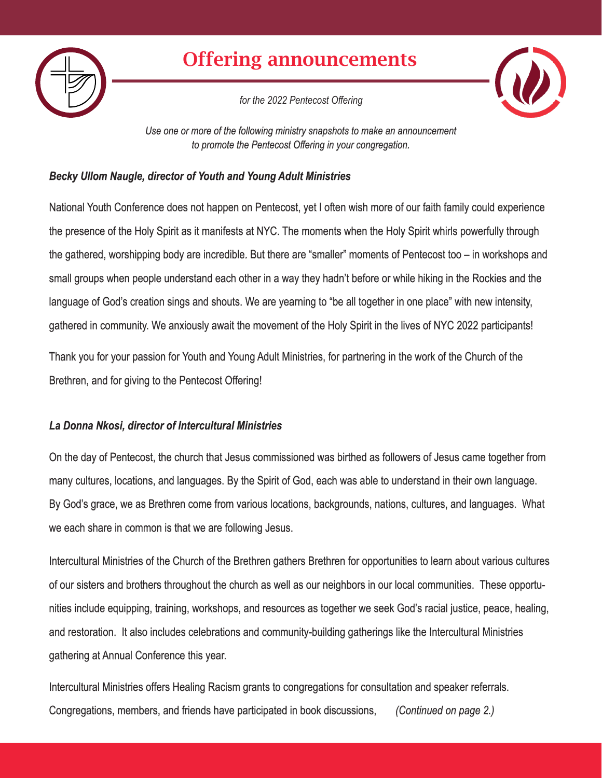

# Offering announcements

*for the 2022 Pentecost Offering*



*Use one or more of the following ministry snapshots to make an announcement to promote the Pentecost Offering in your congregation.*

## *Becky Ullom Naugle, director of Youth and Young Adult Ministries*

National Youth Conference does not happen on Pentecost, yet I often wish more of our faith family could experience the presence of the Holy Spirit as it manifests at NYC. The moments when the Holy Spirit whirls powerfully through the gathered, worshipping body are incredible. But there are "smaller" moments of Pentecost too – in workshops and small groups when people understand each other in a way they hadn't before or while hiking in the Rockies and the language of God's creation sings and shouts. We are yearning to "be all together in one place" with new intensity, gathered in community. We anxiously await the movement of the Holy Spirit in the lives of NYC 2022 participants!

Thank you for your passion for Youth and Young Adult Ministries, for partnering in the work of the Church of the Brethren, and for giving to the Pentecost Offering!

## *La Donna Nkosi, director of Intercultural Ministries*

On the day of Pentecost, the church that Jesus commissioned was birthed as followers of Jesus came together from many cultures, locations, and languages. By the Spirit of God, each was able to understand in their own language. By God's grace, we as Brethren come from various locations, backgrounds, nations, cultures, and languages. What we each share in common is that we are following Jesus.

Intercultural Ministries of the Church of the Brethren gathers Brethren for opportunities to learn about various cultures of our sisters and brothers throughout the church as well as our neighbors in our local communities. These opportunities include equipping, training, workshops, and resources as together we seek God's racial justice, peace, healing, and restoration. It also includes celebrations and community-building gatherings like the Intercultural Ministries gathering at Annual Conference this year.

Intercultural Ministries offers Healing Racism grants to congregations for consultation and speaker referrals. Congregations, members, and friends have participated in book discussions, *(Continued on page 2.)*